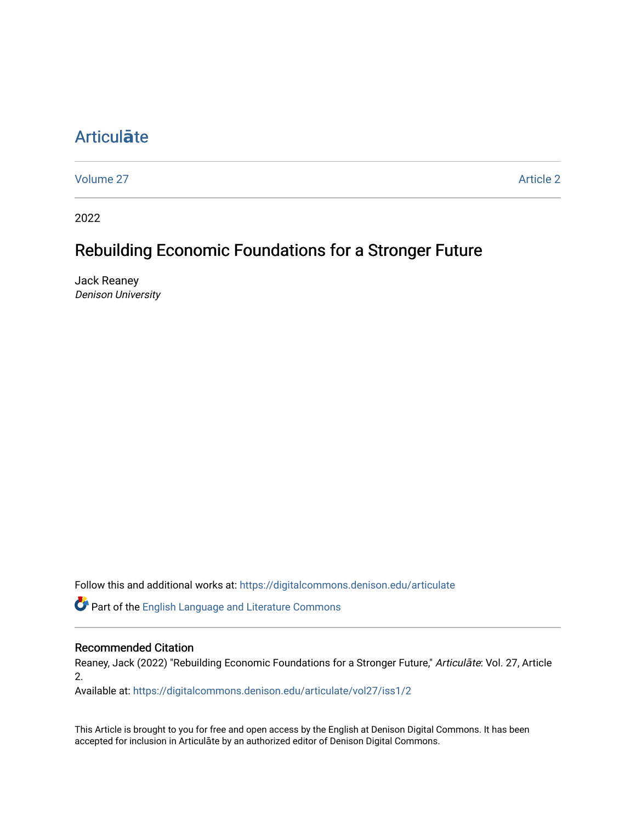# [Articul](https://digitalcommons.denison.edu/articulate)**ā**te

[Volume 27](https://digitalcommons.denison.edu/articulate/vol27) Article 2

2022

## Rebuilding Economic Foundations for a Stronger Future

Jack Reaney Denison University

Follow this and additional works at: [https://digitalcommons.denison.edu/articulate](https://digitalcommons.denison.edu/articulate?utm_source=digitalcommons.denison.edu%2Farticulate%2Fvol27%2Fiss1%2F2&utm_medium=PDF&utm_campaign=PDFCoverPages)

Part of the [English Language and Literature Commons](https://network.bepress.com/hgg/discipline/455?utm_source=digitalcommons.denison.edu%2Farticulate%2Fvol27%2Fiss1%2F2&utm_medium=PDF&utm_campaign=PDFCoverPages)

### Recommended Citation

Reaney, Jack (2022) "Rebuilding Economic Foundations for a Stronger Future," Articulāte: Vol. 27, Article 2.

Available at: [https://digitalcommons.denison.edu/articulate/vol27/iss1/2](https://digitalcommons.denison.edu/articulate/vol27/iss1/2?utm_source=digitalcommons.denison.edu%2Farticulate%2Fvol27%2Fiss1%2F2&utm_medium=PDF&utm_campaign=PDFCoverPages)

This Article is brought to you for free and open access by the English at Denison Digital Commons. It has been accepted for inclusion in Articulāte by an authorized editor of Denison Digital Commons.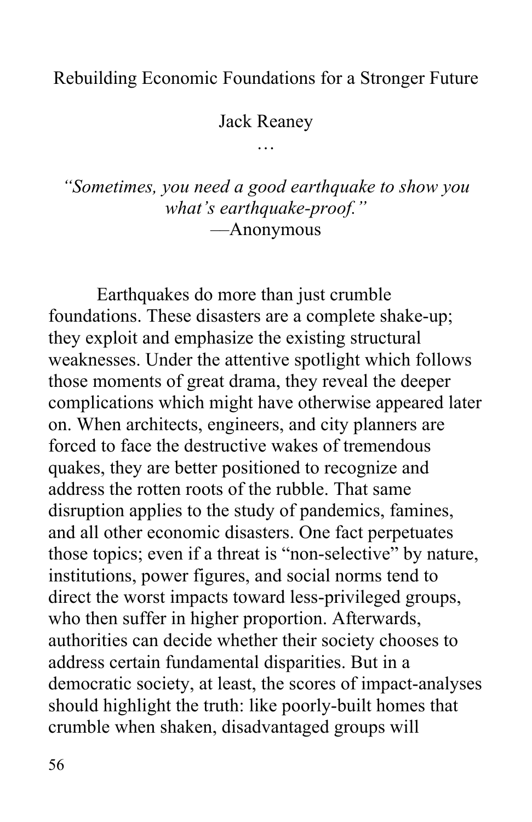## Rebuilding Economic Foundations for a Stronger Future

Jack Reaney

…

 *"Sometimes, you need a good earthquake to show you what's earthquake-proof."*  ––Anonymous

 Earthquakes do more than just crumble foundations. These disasters are a complete shake-up; weaknesses. Under the attentive spotlight which follows those moments of great drama, they reveal the deeper complications which might have otherwise appeared later on. When architects, engineers, and city planners are forced to face the destructive wakes of tremendous quakes, they are better positioned to recognize and disruption applies to the study of pandemics, famines, and all other economic disasters. One fact perpetuates those topics; even if a threat is "non-selective" by nature, institutions, power figures, and social norms tend to direct the worst impacts toward less-privileged groups, who then suffer in higher proportion. Afterwards, authorities can decide whether their society chooses to address certain fundamental disparities. But in a democratic society, at least, the scores of impact-analyses should highlight the truth: like poorly-built homes that crumble when shaken, disadvantaged groups will they exploit and emphasize the existing structural address the rotten roots of the rubble. That same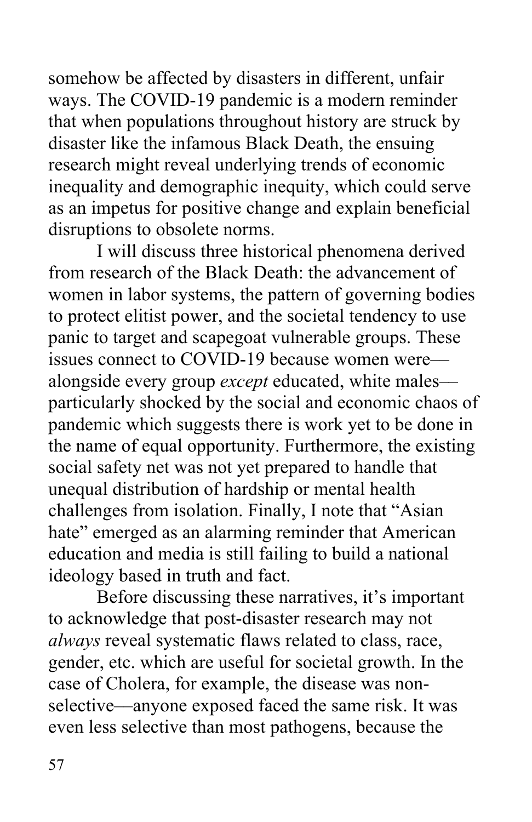somehow be affected by disasters in different, unfair ways. The COVID-19 pandemic is a modern reminder disaster like the infamous Black Death, the ensuing research might reveal underlying trends of economic as an impetus for positive change and explain beneficial disruptions to obsolete norms. that when populations throughout history are struck by inequality and demographic inequity, which could serve

 disruptions to obsolete norms. I will discuss three historical phenomena derived from research of the Black Death: the advancement of women in labor systems, the pattern of governing bodies panic to target and scapegoat vulnerable groups. These alongside every group *except* educated, white males–– particularly shocked by the social and economic chaos of pandemic which suggests there is work yet to be done in social safety net was not yet prepared to handle that unequal distribution of hardship or mental health challenges from isolation. Finally, I note that "Asian hate" emerged as an alarming reminder that American education and media is still failing to build a national ideology based in truth and fact. Before discussing these narratives, it's important to protect elitist power, and the societal tendency to use issues connect to COVID-19 because women were–– the name of equal opportunity. Furthermore, the existing

 *always* reveal systematic flaws related to class, race, gender, etc. which are useful for societal growth. In the case of Cholera, for example, the disease was non- selective––anyone exposed faced the same risk. It was even less selective than most pathogens, because the to acknowledge that post-disaster research may not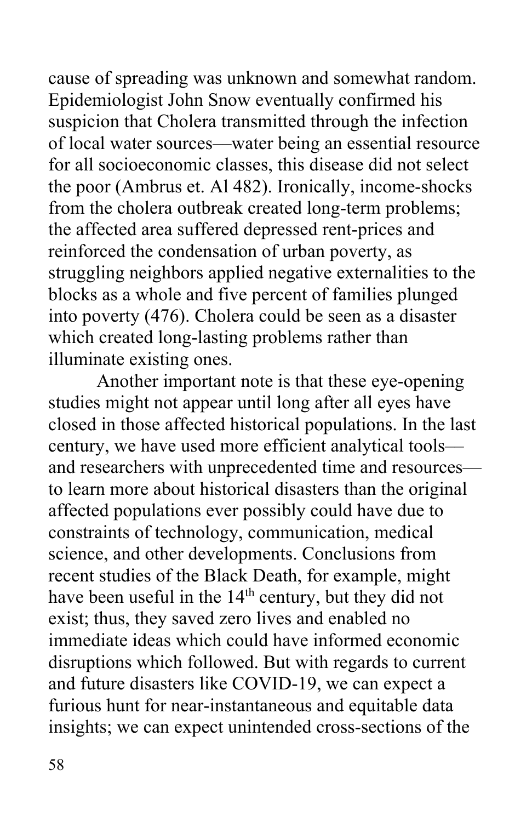cause of spreading was unknown and somewhat random. Epidemiologist John Snow eventually confirmed his suspicion that Cholera transmitted through the infection of local water sources––water being an essential resource for all socioeconomic classes, this disease did not select from the cholera outbreak created long-term problems; the affected area suffered depressed rent-prices and reinforced the condensation of urban poverty, as blocks as a whole and five percent of families plunged which created long-lasting problems rather than illuminate existing ones. illuminate existing ones. Another important note is that these eye-opening the poor (Ambrus et. Al 482). Ironically, income-shocks struggling neighbors applied negative externalities to the into poverty (476). Cholera could be seen as a disaster

 studies might not appear until long after all eyes have closed in those affected historical populations. In the last century, we have used more efficient analytical tools–– and researchers with unprecedented time and resources— affected populations ever possibly could have due to constraints of technology, communication, medical science, and other developments. Conclusions from recent studies of the Black Death, for example, might have been useful in the 14<sup>th</sup> century, but they did not exist; thus, they saved zero lives and enabled no disruptions which followed. But with regards to current and future disasters like COVID-19, we can expect a furious hunt for near-instantaneous and equitable data to learn more about historical disasters than the original immediate ideas which could have informed economic insights; we can expect unintended cross-sections of the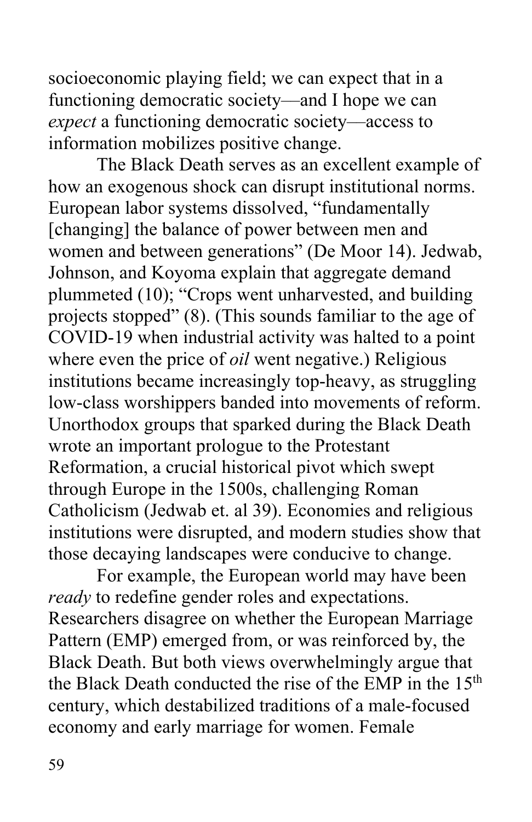functioning democratic society––and I hope we can information mobilizes positive change. socioeconomic playing field; we can expect that in a *expect* a functioning democratic society––access to

 information mobilizes positive change. The Black Death serves as an excellent example of how an exogenous shock can disrupt institutional norms. European labor systems dissolved, "fundamentally [changing] the balance of power between men and women and between generations" (De Moor 14). Jedwab, Johnson, and Koyoma explain that aggregate demand plummeted (10); "Crops went unharvested, and building projects stopped" (8). (This sounds familiar to the age of COVID-19 when industrial activity was halted to a point where even the price of *oil* went negative.) Religious institutions became increasingly top-heavy, as struggling low-class worshippers banded into movements of reform. Unorthodox groups that sparked during the Black Death wrote an important prologue to the Protestant Reformation, a crucial historical pivot which swept Catholicism (Jedwab et. al 39). Economies and religious through Europe in the 1500s, challenging Roman institutions were disrupted, and modern studies show that

 those decaying landscapes were conducive to change. For example, the European world may have been For example, the European world may have been Researchers disagree on whether the European Marriage Pattern (EMP) emerged from, or was reinforced by, the Black Death. But both views overwhelmingly argue that century, which destabilized traditions of a male-focused economy and early marriage for women. Female *ready* to redefine gender roles and expectations. the Black Death conducted the rise of the EMP in the 15<sup>th</sup>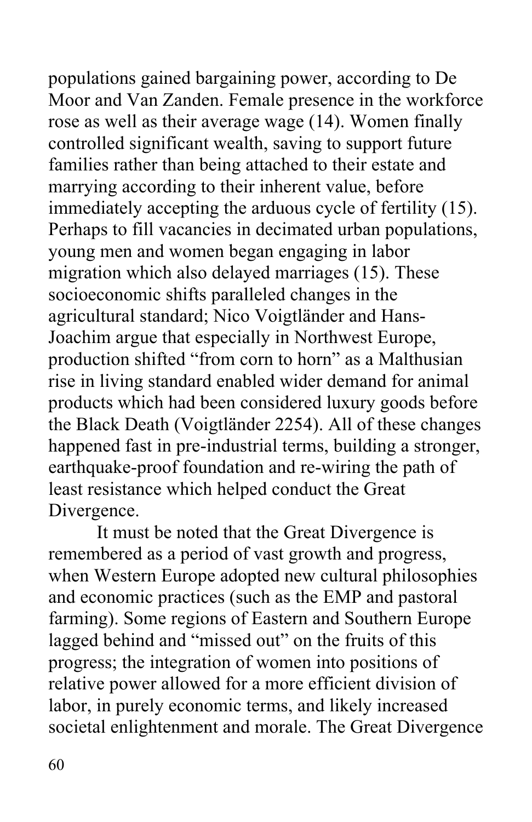Moor and Van Zanden. Female presence in the workforce rose as well as their average wage (14). Women finally controlled significant wealth, saving to support future families rather than being attached to their estate and marrying according to their inherent value, before Perhaps to fill vacancies in decimated urban populations, migration which also delayed marriages (15). These socioeconomic shifts paralleled changes in the agricultural standard; Nico Voigtländer and Hans- Joachim argue that especially in Northwest Europe, production shifted "from corn to horn" as a Malthusian rise in living standard enabled wider demand for animal products which had been considered luxury goods before earthquake-proof foundation and re-wiring the path of Divergence. populations gained bargaining power, according to De immediately accepting the arduous cycle of fertility (15). young men and women began engaging in labor the Black Death (Voigtländer 2254). All of these changes happened fast in pre-industrial terms, building a stronger, least resistance which helped conduct the Great

Divergence.<br>It must be noted that the Great Divergence is remembered as a period of vast growth and progress, when Western Europe adopted new cultural philosophies and economic practices (such as the EMP and pastoral farming). Some regions of Eastern and Southern Europe progress; the integration of women into positions of relative power allowed for a more efficient division of societal enlightenment and morale. The Great Divergence lagged behind and "missed out" on the fruits of this labor, in purely economic terms, and likely increased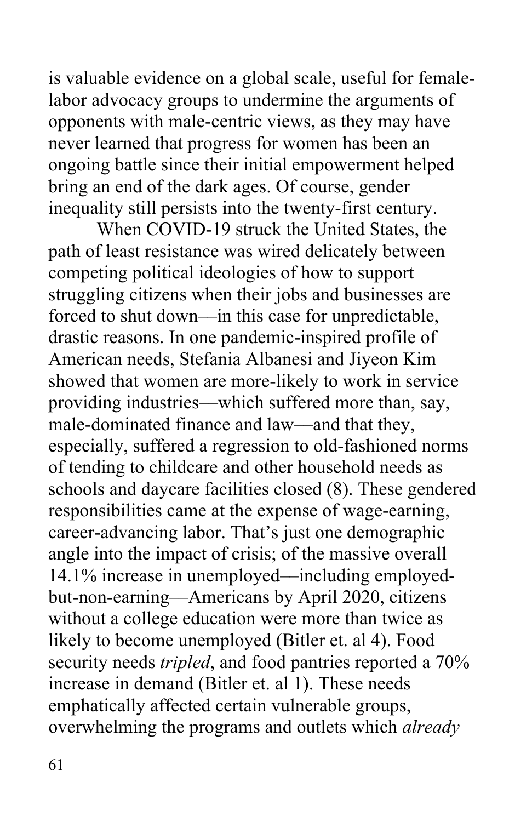opponents with male-centric views, as they may have never learned that progress for women has been an ongoing battle since their initial empowerment helped bring an end of the dark ages. Of course, gender is valuable evidence on a global scale, useful for femalelabor advocacy groups to undermine the arguments of

 inequality still persists into the twenty-first century. When COVID-19 struck the United States, the When COVID-19 struck the United States, the path of least resistance was wired delicately between competing political ideologies of how to support struggling citizens when their jobs and businesses are forced to shut down––in this case for unpredictable, American needs, Stefania Albanesi and Jiyeon Kim showed that women are more-likely to work in service providing industries––which suffered more than, say, male-dominated finance and law––and that they, especially, suffered a regression to old-fashioned norms of tending to childcare and other household needs as schools and daycare facilities closed (8). These gendered responsibilities came at the expense of wage-earning, career-advancing labor. That's just one demographic angle into the impact of crisis; of the massive overall 14.1% increase in unemployed––including employed- but-non-earning––Americans by April 2020, citizens without a college education were more than twice as likely to become unemployed (Bitler et. al 4). Food emphatically affected certain vulnerable groups, overwhelming the programs and outlets which *already*  drastic reasons. In one pandemic-inspired profile of security needs *tripled*, and food pantries reported a 70% increase in demand (Bitler et. al 1). These needs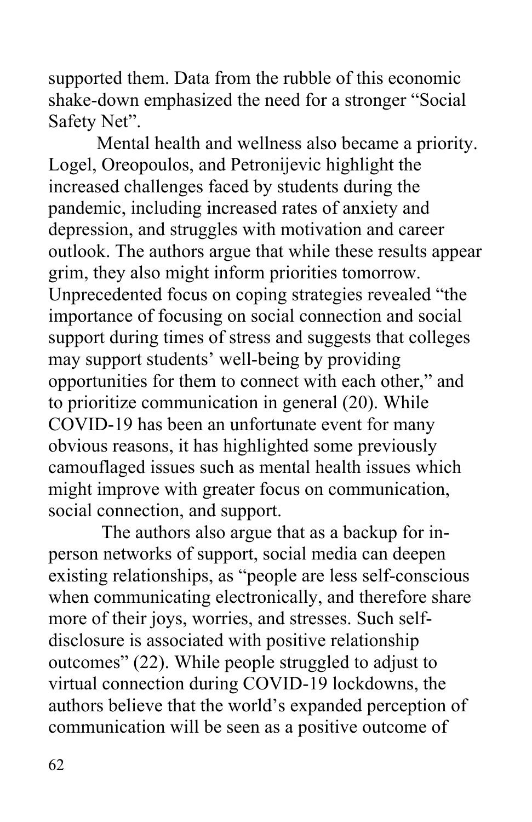supported them. Data from the rubble of this economic shake-down emphasized the need for a stronger "Social Safety Net".

 Safety Net". Mental health and wellness also became a priority. Logel, Oreopoulos, and Petronijevic highlight the pandemic, including increased rates of anxiety and outlook. The authors argue that while these results appear grim, they also might inform priorities tomorrow. Unprecedented focus on coping strategies revealed "the importance of focusing on social connection and social support during times of stress and suggests that colleges may support students' well-being by providing opportunities for them to connect with each other," and COVID-19 has been an unfortunate event for many obvious reasons, it has highlighted some previously camouflaged issues such as mental health issues which might improve with greater focus on communication, social connection, and support. increased challenges faced by students during the depression, and struggles with motivation and career to prioritize communication in general (20). While

 The authors also argue that as a backup for in- person networks of support, social media can deepen when communicating electronically, and therefore share more of their joys, worries, and stresses. Such self- disclosure is associated with positive relationship outcomes" (22). While people struggled to adjust to virtual connection during COVID-19 lockdowns, the authors believe that the world's expanded perception of communication will be seen as a positive outcome of existing relationships, as "people are less self-conscious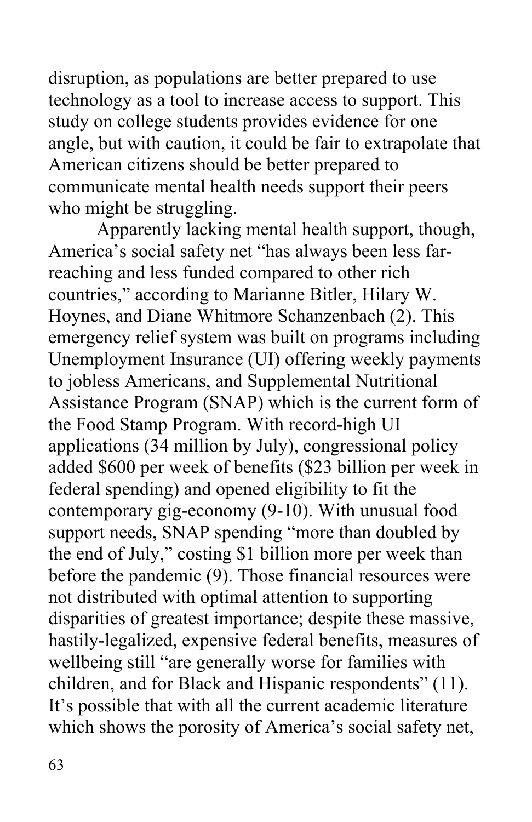disruption, as populations are better prepared to use study on college students provides evidence for one angle, but with caution, it could be fair to extrapolate that American citizens should be better prepared to communicate mental health needs support their peers who might be struggling. technology as a tool to increase access to support. This

 Apparently lacking mental health support, though, America's social safety net "has always been less far- reaching and less funded compared to other rich countries," according to Marianne Bitler, Hilary W. Hoynes, and Diane Whitmore Schanzenbach (2). This emergency relief system was built on programs including Unemployment Insurance (UI) offering weekly payments Assistance Program (SNAP) which is the current form of applications (34 million by July), congressional policy added \$600 per week of benefits (\$23 billion per week in federal spending) and opened eligibility to fit the support needs, SNAP spending "more than doubled by before the pandemic (9). Those financial resources were disparities of greatest importance; despite these massive, wellbeing still "are generally worse for families with children, and for Black and Hispanic respondents" (11). It's possible that with all the current academic literature which shows the porosity of America's social safety net, to jobless Americans, and Supplemental Nutritional the Food Stamp Program. With record-high UI contemporary gig-economy (9-10). With unusual food the end of July," costing \$1 billion more per week than not distributed with optimal attention to supporting hastily-legalized, expensive federal benefits, measures of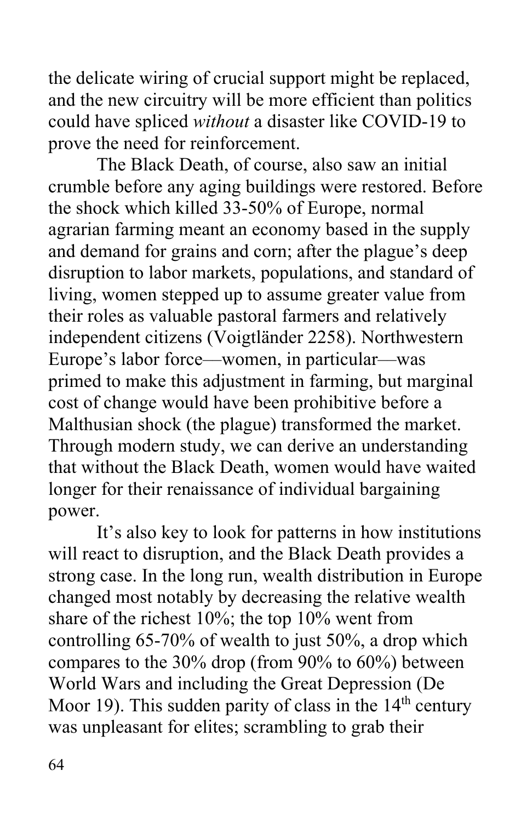and the new circuitry will be more efficient than politics could have spliced *without* a disaster like COVID-19 to prove the need for reinforcement. the delicate wiring of crucial support might be replaced,

 The Black Death, of course, also saw an initial crumble before any aging buildings were restored. Before the shock which killed 33-50% of Europe, normal agrarian farming meant an economy based in the supply and demand for grains and corn; after the plague's deep disruption to labor markets, populations, and standard of independent citizens (Voigtländer 2258). Northwestern Europe's labor force––women, in particular––was primed to make this adjustment in farming, but marginal cost of change would have been prohibitive before a Malthusian shock (the plague) transformed the market. Through modern study, we can derive an understanding living, women stepped up to assume greater value from their roles as valuable pastoral farmers and relatively that without the Black Death, women would have waited longer for their renaissance of individual bargaining

 power. It's also key to look for patterns in how institutions will react to disruption, and the Black Death provides a strong case. In the long run, wealth distribution in Europe changed most notably by decreasing the relative wealth share of the richest 10%; the top 10% went from controlling 65-70% of wealth to just 50%, a drop which compares to the 30% drop (from 90% to 60%) between World Wars and including the Great Depression (De Moor 19). This sudden parity of class in the  $14<sup>th</sup>$  century was unpleasant for elites; scrambling to grab their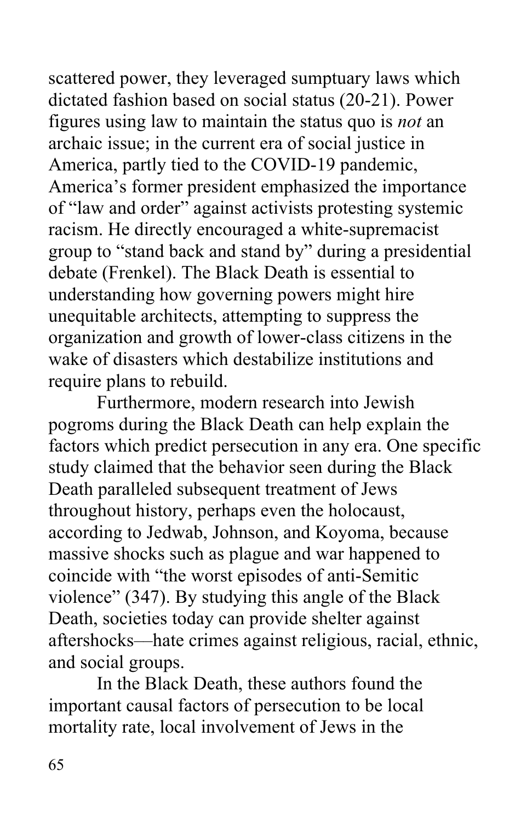scattered power, they leveraged sumptuary laws which dictated fashion based on social status (20-21). Power figures using law to maintain the status quo is *not* an archaic issue; in the current era of social justice in America, partly tied to the COVID-19 pandemic, America's former president emphasized the importance of "law and order" against activists protesting systemic racism. He directly encouraged a white-supremacist group to "stand back and stand by" during a presidential debate (Frenkel). The Black Death is essential to understanding how governing powers might hire unequitable architects, attempting to suppress the wake of disasters which destabilize institutions and require plans to rebuild. organization and growth of lower-class citizens in the

 pogroms during the Black Death can help explain the factors which predict persecution in any era. One specific study claimed that the behavior seen during the Black Death paralleled subsequent treatment of Jews according to Jedwab, Johnson, and Koyoma, because massive shocks such as plague and war happened to coincide with "the worst episodes of anti-Semitic violence" (347). By studying this angle of the Black Death, societies today can provide shelter against aftershocks––hate crimes against religious, racial, ethnic, and social groups. Furthermore, modern research into Jewish throughout history, perhaps even the holocaust,

 In the Black Death, these authors found the mortality rate, local involvement of Jews in the important causal factors of persecution to be local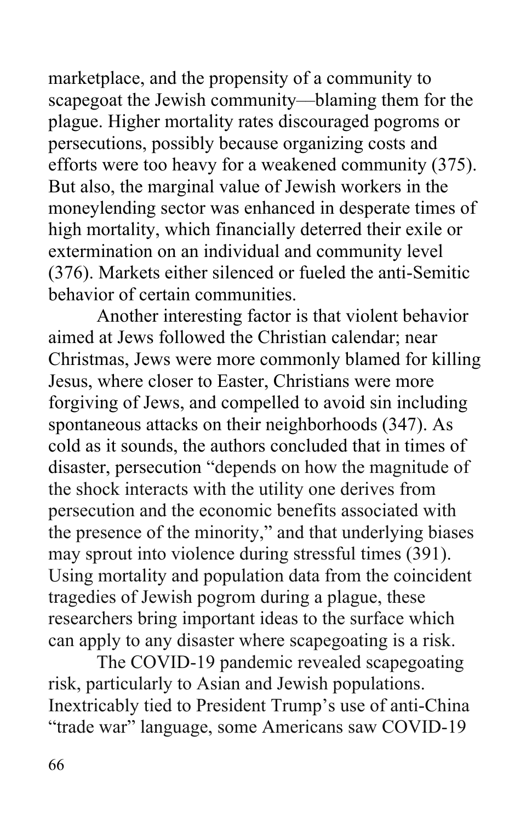marketplace, and the propensity of a community to scapegoat the Jewish community––blaming them for the plague. Higher mortality rates discouraged pogroms or efforts were too heavy for a weakened community (375). But also, the marginal value of Jewish workers in the moneylending sector was enhanced in desperate times of high mortality, which financially deterred their exile or extermination on an individual and community level (376). Markets either silenced or fueled the anti-Semitic behavior of certain communities. persecutions, possibly because organizing costs and

 Another interesting factor is that violent behavior aimed at Jews followed the Christian calendar; near Christmas, Jews were more commonly blamed for killing Jesus, where closer to Easter, Christians were more forgiving of Jews, and compelled to avoid sin including spontaneous attacks on their neighborhoods (347). As cold as it sounds, the authors concluded that in times of disaster, persecution "depends on how the magnitude of persecution and the economic benefits associated with may sprout into violence during stressful times (391). Using mortality and population data from the coincident researchers bring important ideas to the surface which can apply to any disaster where scapegoating is a risk. the shock interacts with the utility one derives from the presence of the minority," and that underlying biases tragedies of Jewish pogrom during a plague, these

 risk, particularly to Asian and Jewish populations. Inextricably tied to President Trump's use of anti-China The COVID-19 pandemic revealed scapegoating "trade war" language, some Americans saw COVID-19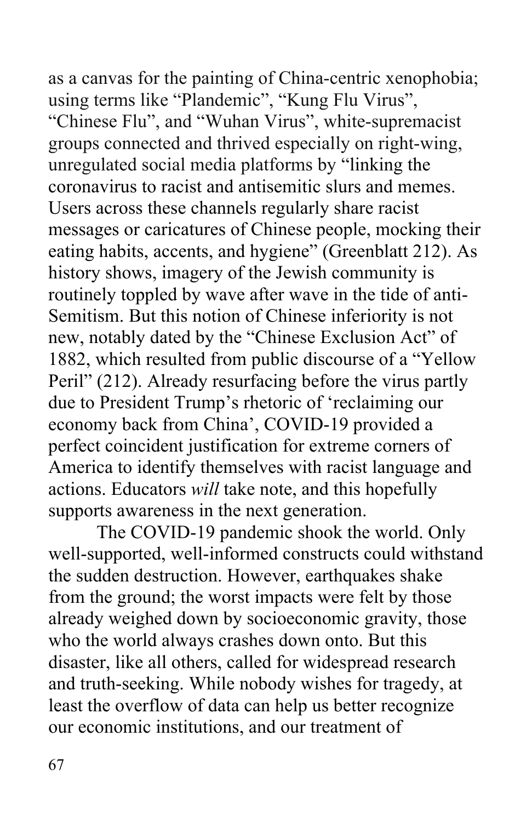as a canvas for the painting of China-centric xenophobia; using terms like "Plandemic", "Kung Flu Virus", "Chinese Flu", and "Wuhan Virus", white-supremacist unregulated social media platforms by "linking the coronavirus to racist and antisemitic slurs and memes. Users across these channels regularly share racist messages or caricatures of Chinese people, mocking their eating habits, accents, and hygiene" (Greenblatt 212). As history shows, imagery of the Jewish community is routinely toppled by wave after wave in the tide of anti- Semitism. But this notion of Chinese inferiority is not new, notably dated by the "Chinese Exclusion Act" of 1882, which resulted from public discourse of a "Yellow Peril" (212). Already resurfacing before the virus partly due to President Trump's rhetoric of 'reclaiming our economy back from China', COVID-19 provided a perfect coincident justification for extreme corners of America to identify themselves with racist language and supports awareness in the next generation. groups connected and thrived especially on right-wing, actions. Educators *will* take note, and this hopefully

 The COVID-19 pandemic shook the world. Only from the ground; the worst impacts were felt by those already weighed down by socioeconomic gravity, those who the world always crashes down onto. But this disaster, like all others, called for widespread research and truth-seeking. While nobody wishes for tragedy, at our economic institutions, and our treatment of well-supported, well-informed constructs could withstand the sudden destruction. However, earthquakes shake least the overflow of data can help us better recognize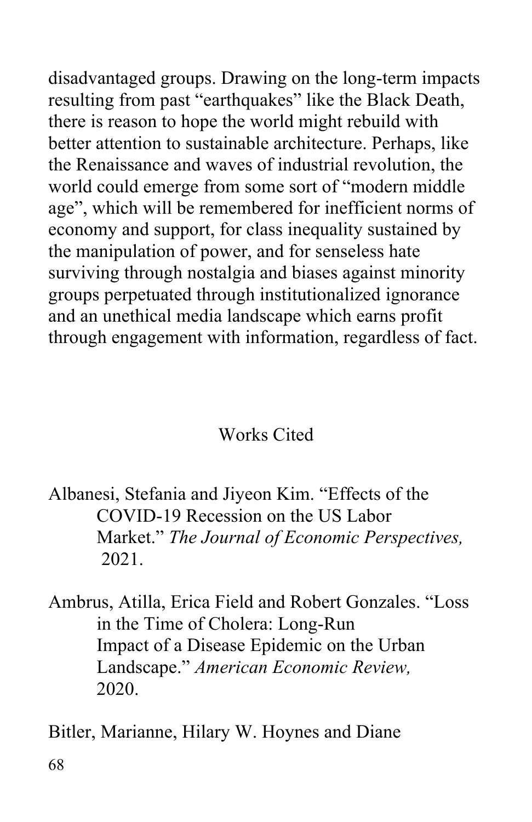resulting from past "earthquakes" like the Black Death, better attention to sustainable architecture. Perhaps, like world could emerge from some sort of "modern middle age", which will be remembered for inefficient norms of economy and support, for class inequality sustained by surviving through nostalgia and biases against minority and an unethical media landscape which earns profit through engagement with information, regardless of fact.<br>Works Cited disadvantaged groups. Drawing on the long-term impacts there is reason to hope the world might rebuild with the Renaissance and waves of industrial revolution, the the manipulation of power, and for senseless hate groups perpetuated through institutionalized ignorance

 Albanesi, Stefania and Jiyeon Kim. "Effects of the  Market." *The Journal of Economic Perspectives,*  2021. COVID-19 Recession on the US Labor

 Ambrus, Atilla, Erica Field and Robert Gonzales. "Loss in the Time of Cholera: Long-Run in the Time of Cholera: Long-Run<br>Impact of a Disease Epidemic on the Urban  Landscape." *American Economic Review,*  2020.

Bitler, Marianne, Hilary W. Hoynes and Diane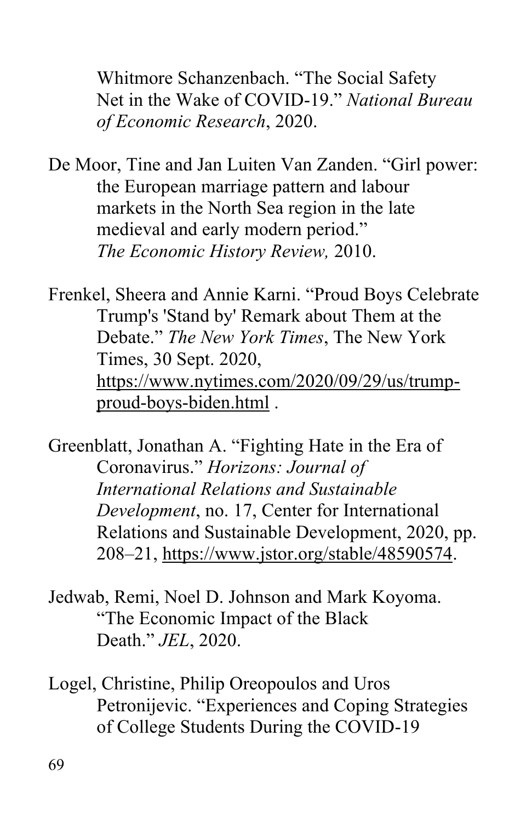Whitmore Schanzenbach. "The Social Safety Net in the Wake of COVID-19." *National Bureau of Economic Research*, 2020.

 De Moor, Tine and Jan Luiten Van Zanden. "Girl power: markets in the North Sea region in the late medieval and early modern period."  *The Economic History Review,* 2010. the European marriage pattern and labour

 Frenkel, Sheera and Annie Karni. "Proud Boys Celebrate Trump's 'Stand by' Remark about Them at the  Debate." *The New York Times*, The New York Times, 30 Sept. 2020, proud-boys-biden.html . [https://www.nytimes.com/2020/09/29/us/trump-](https://www.nytimes.com/2020/09/29/us/trump)

 Greenblatt, Jonathan A. "Fighting Hate in the Era of  Coronavirus." *Horizons: Journal of International Relations and Sustainable*  Relations and Sustainable Development, 2020, pp. 208–21, https://www.jstor.org/stable/48590574. 208–21, <https://www.jstor.org/stable/48590574>. Jedwab, Remi, Noel D. Johnson and Mark Koyoma. *Development*, no. 17, Center for International

 "The Economic Impact of the Black Death." *JEL*, 2020.

 Logel, Christine, Philip Oreopoulos and Uros of College Students During the COVID-19 Petronijevic. "Experiences and Coping Strategies